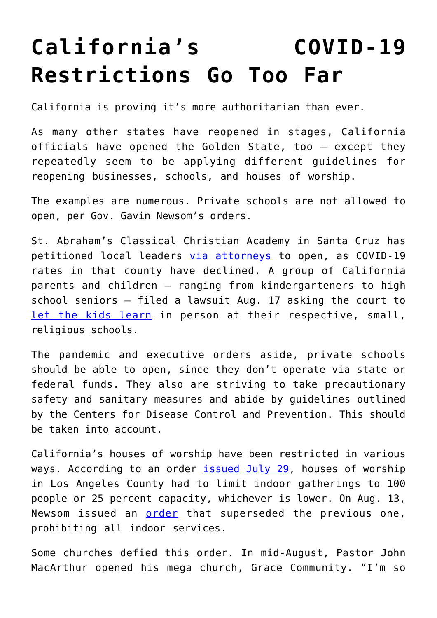## **[California's COVID-19](https://intellectualtakeout.org/2020/09/californias-covid-19-restrictions-go-too-far/) [Restrictions Go Too Far](https://intellectualtakeout.org/2020/09/californias-covid-19-restrictions-go-too-far/)**

California is proving it's more authoritarian than ever.

As many other states have reopened in stages, California officials have opened the Golden State, too – except they repeatedly seem to be applying different guidelines for reopening businesses, schools, and houses of worship.

The examples are numerous. Private schools are not allowed to open, per Gov. Gavin Newsom's orders.

St. Abraham's Classical Christian Academy in Santa Cruz has petitioned local leaders [via attorneys](https://firstliberty.org/wp-content/uploads/2020/08/20-08-25-Letter-to-HSA-Santa-Cruz-Cnty-w-Exh-A_Redacted.pdf) to open, as COVID-19 rates in that county have declined. A group of California parents and children – ranging from kindergarteners to high school seniors – filed a lawsuit Aug. 17 asking the court to [let the kids learn](https://s3.amazonaws.com/becketnewsite/29_001-Memorandum-of-Points-and-Authorities-filed-2020-08-27.pdf) in person at their respective, small, religious schools.

The pandemic and executive orders aside, private schools should be able to open, since they don't operate via state or federal funds. They also are striving to take precautionary safety and sanitary measures and abide by guidelines outlined by the Centers for Disease Control and Prevention. This should be taken into account.

California's houses of worship have been restricted in various ways. According to an order [issued July 29,](https://files.covid19.ca.gov/pdf/guidance-places-of-worship.pdf) houses of worship in Los Angeles County had to limit indoor gatherings to 100 people or 25 percent capacity, whichever is lower. On Aug. 13, Newsom issued an [order](http://www.publichealth.lacounty.gov/media/Coronavirus/docs/HOO/FAQ-SaferatWorkandCommunityOrder.pdf) that superseded the previous one, prohibiting all indoor services.

Some churches defied this order. In mid-August, Pastor John MacArthur opened his mega church, Grace Community. "I'm so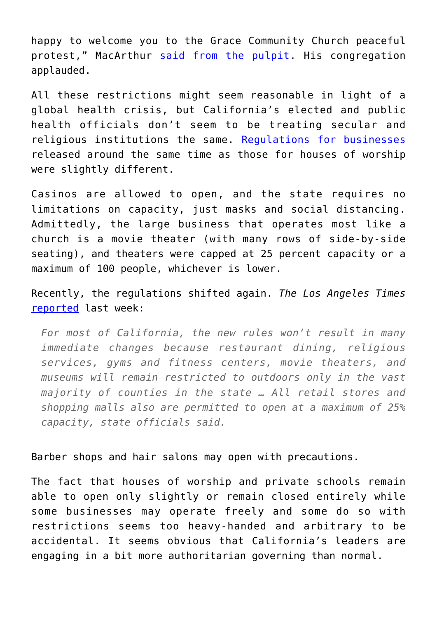happy to welcome you to the Grace Community Church peaceful protest," MacArthur [said from the pulpit](https://www.cnn.com/2020/08/12/us/pastor-macarthur-church-california/index.html). His congregation applauded.

All these restrictions might seem reasonable in light of a global health crisis, but California's elected and public health officials don't seem to be treating secular and religious institutions the same. [Regulations for businesses](https://abc7news.com/newsom-rolls-back-reopening-california-rollback-is-schools/6217182/) released around the same time as those for houses of worship were slightly different.

Casinos are allowed to open, and the state requires no limitations on capacity, just masks and social distancing. Admittedly, the large business that operates most like a church is a movie theater (with many rows of side-by-side seating), and theaters were capped at 25 percent capacity or a maximum of 100 people, whichever is lower.

Recently, the regulations shifted again. *The Los Angeles Times* [reported](https://www.latimes.com/california/story/2020-08-28/california-counties-new-reopening-plan-gavin-newsom-coronavirus) last week:

*For most of California, the new rules won't result in many immediate changes because restaurant dining, religious services, gyms and fitness centers, movie theaters, and museums will remain restricted to outdoors only in the vast majority of counties in the state … All retail stores and shopping malls also are permitted to open at a maximum of 25% capacity, state officials said.*

Barber shops and hair salons may open with precautions.

The fact that houses of worship and private schools remain able to open only slightly or remain closed entirely while some businesses may operate freely and some do so with restrictions seems too heavy-handed and arbitrary to be accidental. It seems obvious that California's leaders are engaging in a bit more authoritarian governing than normal.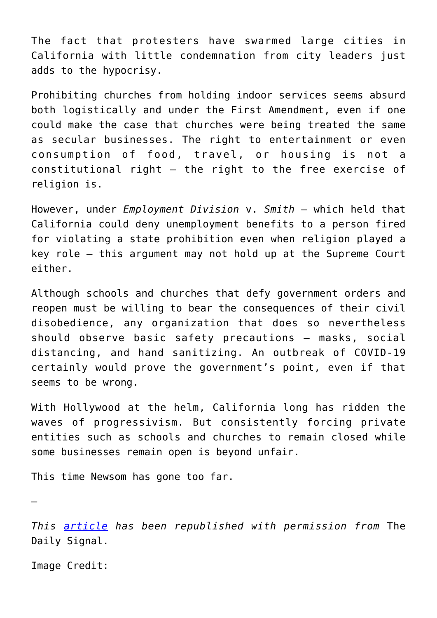The fact that protesters have swarmed large cities in California with little condemnation from city leaders just adds to the hypocrisy.

Prohibiting churches from holding indoor services seems absurd both logistically and under the First Amendment, even if one could make the case that churches were being treated the same as secular businesses. The right to entertainment or even consumption of food, travel, or housing is not a constitutional right – the right to the free exercise of religion is.

However, under *Employment Division* v. *Smith* – which held that California could deny unemployment benefits to a person fired for violating a state prohibition even when religion played a key role – this argument may not hold up at the Supreme Court either.

Although schools and churches that defy government orders and reopen must be willing to bear the consequences of their civil disobedience, any organization that does so nevertheless should observe basic safety precautions – masks, social distancing, and hand sanitizing. An outbreak of COVID-19 certainly would prove the government's point, even if that seems to be wrong.

With Hollywood at the helm, California long has ridden the waves of progressivism. But consistently forcing private entities such as schools and churches to remain closed while some businesses remain open is beyond unfair.

This time Newsom has gone too far.

—

*This [article](https://www.dailysignal.com/2020/09/04/californias-covid-19-restrictions-go-too-far/) has been republished with permission from* The Daily Signal.

Image Credit: